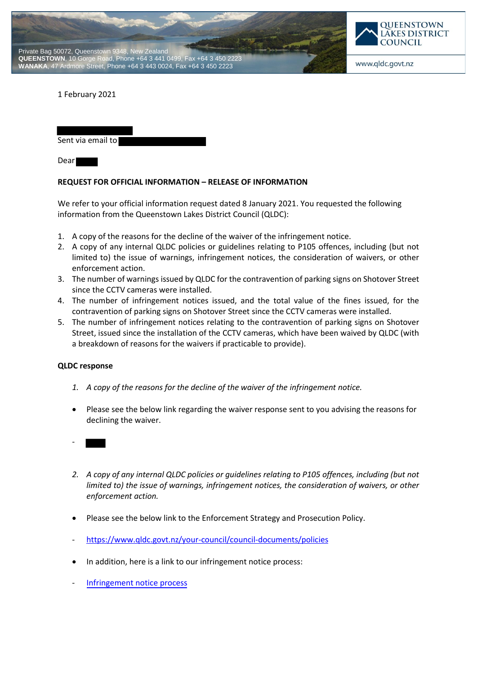



1 February 2021

Sent via email to

Dear

## **REQUEST FOR OFFICIAL INFORMATION – RELEASE OF INFORMATION**

We refer to your official information request dated 8 January 2021. You requested the following information from the Queenstown Lakes District Council (QLDC):

- 1. A copy of the reasons for the decline of the waiver of the infringement notice.
- 2. A copy of any internal QLDC policies or guidelines relating to P105 offences, including (but not limited to) the issue of warnings, infringement notices, the consideration of waivers, or other enforcement action.
- 3. The number of warnings issued by QLDC for the contravention of parking signs on Shotover Street since the CCTV cameras were installed.
- 4. The number of infringement notices issued, and the total value of the fines issued, for the contravention of parking signs on Shotover Street since the CCTV cameras were installed.
- 5. The number of infringement notices relating to the contravention of parking signs on Shotover Street, issued since the installation of the CCTV cameras, which have been waived by QLDC (with a breakdown of reasons for the waivers if practicable to provide).

## **QLDC response**

- *1. A copy of the reasons for the decline of the waiver of the infringement notice.*
- Please see the below link regarding the waiver response sent to you advising the reasons for declining the waiver.
- -
- *2. A copy of any internal QLDC policies or guidelines relating to P105 offences, including (but not limited to) the issue of warnings, infringement notices, the consideration of waivers, or other enforcement action.*
- Please see the below link to the Enforcement Strategy and Prosecution Policy.
- https://www.qldc.govt.nz/your-council/council-documents/policies
- In addition, here is a link to our infringement notice process:
- [Infringement notice process](https://qldc.t1cloud.com/T1Default/CiAnywhere/Web/QLDC/ECMCore/BulkAction/Get/08af3c11-7003-412d-9edb-5b13f2774500)